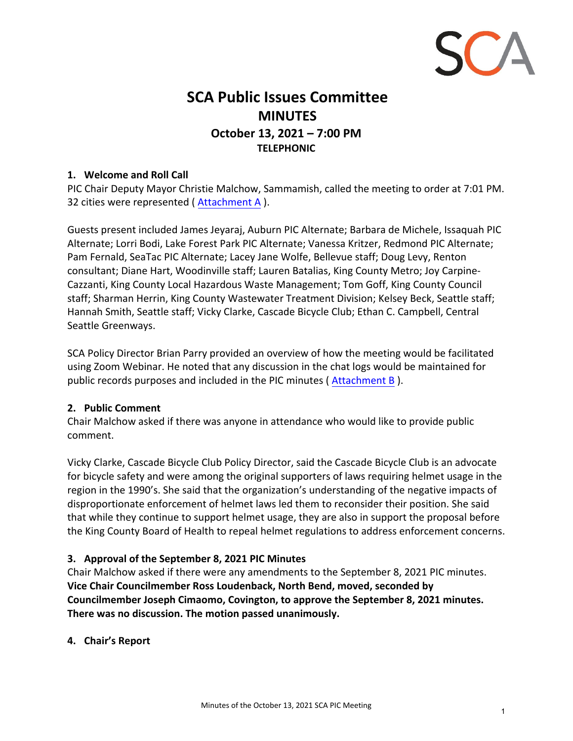

# **SCA Public Issues Committee MINUTES October 13, 2021 – 7:00 PM TELEPHONIC**

#### **1. Welcome and Roll Call**

PIC Chair Deputy Mayor Christie Malchow, Sammamish, called the meeting to order at 7:01 PM. 32 cities were represented ( Attachment A ).

Guests present included James Jeyaraj, Auburn PIC Alternate; Barbara de Michele, Issaquah PIC Alternate; Lorri Bodi, Lake Forest Park PIC Alternate; Vanessa Kritzer, Redmond PIC Alternate; Pam Fernald, SeaTac PIC Alternate; Lacey Jane Wolfe, Bellevue staff; Doug Levy, Renton consultant; Diane Hart, Woodinville staff; Lauren Batalias, King County Metro; Joy Carpine‐ Cazzanti, King County Local Hazardous Waste Management; Tom Goff, King County Council staff; Sharman Herrin, King County Wastewater Treatment Division; Kelsey Beck, Seattle staff; Hannah Smith, Seattle staff; Vicky Clarke, Cascade Bicycle Club; Ethan C. Campbell, Central Seattle Greenways.

SCA Policy Director Brian Parry provided an overview of how the meeting would be facilitated using Zoom Webinar. He noted that any discussion in the chat logs would be maintained for public records purposes and included in the PIC minutes ( Attachment B ).

#### **2. Public Comment**

Chair Malchow asked if there was anyone in attendance who would like to provide public comment.

Vicky Clarke, Cascade Bicycle Club Policy Director, said the Cascade Bicycle Club is an advocate for bicycle safety and were among the original supporters of laws requiring helmet usage in the region in the 1990's. She said that the organization's understanding of the negative impacts of disproportionate enforcement of helmet laws led them to reconsider their position. She said that while they continue to support helmet usage, they are also in support the proposal before the King County Board of Health to repeal helmet regulations to address enforcement concerns.

## **3. Approval of the September 8, 2021 PIC Minutes**

Chair Malchow asked if there were any amendments to the September 8, 2021 PIC minutes. **Vice Chair Councilmember Ross Loudenback, North Bend, moved, seconded by Councilmember Joseph Cimaomo, Covington, to approve the September 8, 2021 minutes. There was no discussion. The motion passed unanimously.**

## **4. Chair's Report**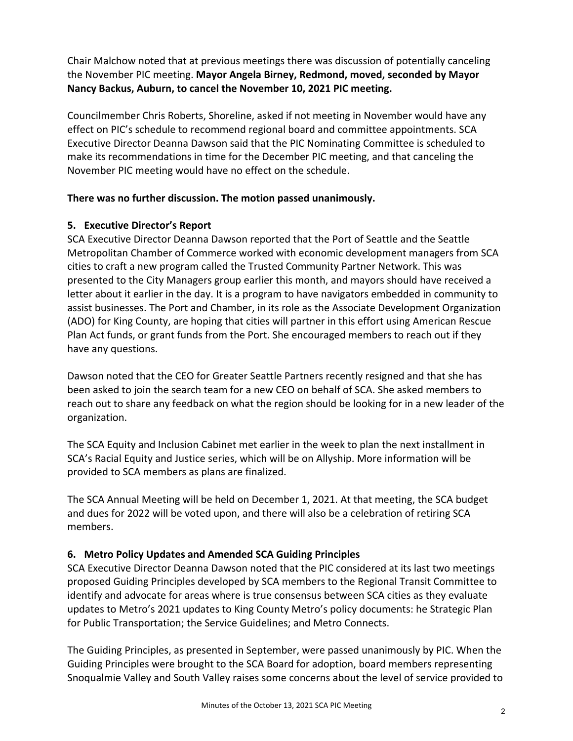Chair Malchow noted that at previous meetings there was discussion of potentially canceling the November PIC meeting. **Mayor Angela Birney, Redmond, moved, seconded by Mayor Nancy Backus, Auburn, to cancel the November 10, 2021 PIC meeting.**

Councilmember Chris Roberts, Shoreline, asked if not meeting in November would have any effect on PIC's schedule to recommend regional board and committee appointments. SCA Executive Director Deanna Dawson said that the PIC Nominating Committee is scheduled to make its recommendations in time for the December PIC meeting, and that canceling the November PIC meeting would have no effect on the schedule.

## **There was no further discussion. The motion passed unanimously.**

# **5. Executive Director's Report**

SCA Executive Director Deanna Dawson reported that the Port of Seattle and the Seattle Metropolitan Chamber of Commerce worked with economic development managers from SCA cities to craft a new program called the Trusted Community Partner Network. This was presented to the City Managers group earlier this month, and mayors should have received a letter about it earlier in the day. It is a program to have navigators embedded in community to assist businesses. The Port and Chamber, in its role as the Associate Development Organization (ADO) for King County, are hoping that cities will partner in this effort using American Rescue Plan Act funds, or grant funds from the Port. She encouraged members to reach out if they have any questions.

Dawson noted that the CEO for Greater Seattle Partners recently resigned and that she has been asked to join the search team for a new CEO on behalf of SCA. She asked members to reach out to share any feedback on what the region should be looking for in a new leader of the organization.

The SCA Equity and Inclusion Cabinet met earlier in the week to plan the next installment in SCA's Racial Equity and Justice series, which will be on Allyship. More information will be provided to SCA members as plans are finalized.

The SCA Annual Meeting will be held on December 1, 2021. At that meeting, the SCA budget and dues for 2022 will be voted upon, and there will also be a celebration of retiring SCA members.

# **6. Metro Policy Updates and Amended SCA Guiding Principles**

SCA Executive Director Deanna Dawson noted that the PIC considered at its last two meetings proposed Guiding Principles developed by SCA members to the Regional Transit Committee to identify and advocate for areas where is true consensus between SCA cities as they evaluate updates to Metro's 2021 updates to King County Metro's policy documents: he Strategic Plan for Public Transportation; the Service Guidelines; and Metro Connects.

The Guiding Principles, as presented in September, were passed unanimously by PIC. When the Guiding Principles were brought to the SCA Board for adoption, board members representing Snoqualmie Valley and South Valley raises some concerns about the level of service provided to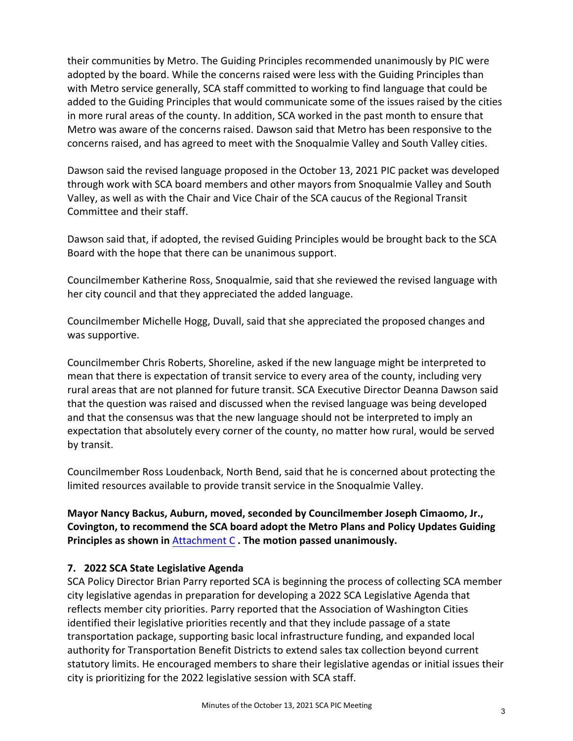their communities by Metro. The Guiding Principles recommended unanimously by PIC were adopted by the board. While the concerns raised were less with the Guiding Principles than with Metro service generally, SCA staff committed to working to find language that could be added to the Guiding Principles that would communicate some of the issues raised by the cities in more rural areas of the county. In addition, SCA worked in the past month to ensure that Metro was aware of the concerns raised. Dawson said that Metro has been responsive to the concerns raised, and has agreed to meet with the Snoqualmie Valley and South Valley cities.

Dawson said the revised language proposed in the October 13, 2021 PIC packet was developed through work with SCA board members and other mayors from Snoqualmie Valley and South Valley, as well as with the Chair and Vice Chair of the SCA caucus of the Regional Transit Committee and their staff.

Dawson said that, if adopted, the revised Guiding Principles would be brought back to the SCA Board with the hope that there can be unanimous support.

Councilmember Katherine Ross, Snoqualmie, said that she reviewed the revised language with her city council and that they appreciated the added language.

Councilmember Michelle Hogg, Duvall, said that she appreciated the proposed changes and was supportive.

Councilmember Chris Roberts, Shoreline, asked if the new language might be interpreted to mean that there is expectation of transit service to every area of the county, including very rural areas that are not planned for future transit. SCA Executive Director Deanna Dawson said that the question was raised and discussed when the revised language was being developed and that the consensus was that the new language should not be interpreted to imply an expectation that absolutely every corner of the county, no matter how rural, would be served by transit.

Councilmember Ross Loudenback, North Bend, said that he is concerned about protecting the limited resources available to provide transit service in the Snoqualmie Valley.

**Mayor Nancy Backus, Auburn, moved, seconded by Councilmember Joseph Cimaomo, Jr., Covington, to recommend the SCA board adopt the Metro Plans and Policy Updates Guiding Principles as shown in** Attachment C **. The motion passed unanimously.**

## **7. 2022 SCA State Legislative Agenda**

SCA Policy Director Brian Parry reported SCA is beginning the process of collecting SCA member city legislative agendas in preparation for developing a 2022 SCA Legislative Agenda that reflects member city priorities. Parry reported that the Association of Washington Cities identified their legislative priorities recently and that they include passage of a state transportation package, supporting basic local infrastructure funding, and expanded local authority for Transportation Benefit Districts to extend sales tax collection beyond current statutory limits. He encouraged members to share their legislative agendas or initial issues their city is prioritizing for the 2022 legislative session with SCA staff.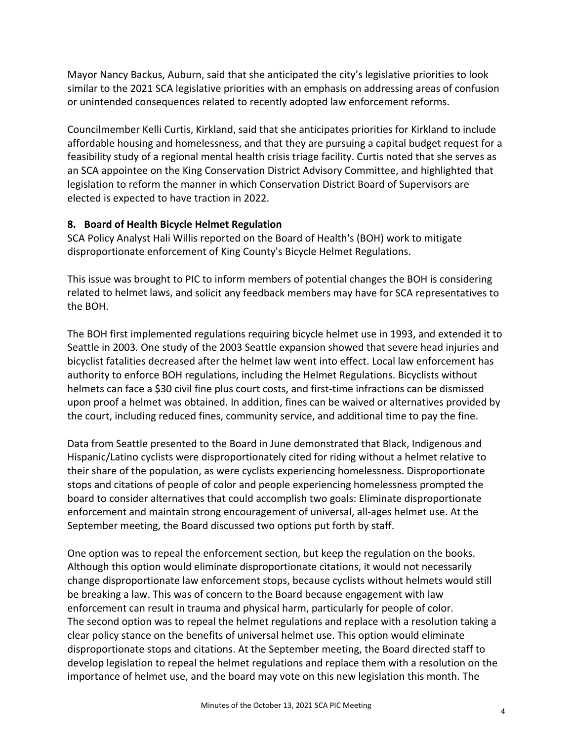Mayor Nancy Backus, Auburn, said that she anticipated the city's legislative priorities to look similar to the 2021 SCA legislative priorities with an emphasis on addressing areas of confusion or unintended consequences related to recently adopted law enforcement reforms.

Councilmember Kelli Curtis, Kirkland, said that she anticipates priorities for Kirkland to include affordable housing and homelessness, and that they are pursuing a capital budget request for a feasibility study of a regional mental health crisis triage facility. Curtis noted that she serves as an SCA appointee on the King Conservation District Advisory Committee, and highlighted that legislation to reform the manner in which Conservation District Board of Supervisors are elected is expected to have traction in 2022.

#### **8. Board of Health Bicycle Helmet Regulation**

SCA Policy Analyst Hali Willis reported on the Board of Health's (BOH) work to mitigate disproportionate enforcement of King County's Bicycle Helmet Regulations.

This issue was brought to PIC to inform members of potential changes the BOH is considering related to helmet laws, and solicit any feedback members may have for SCA representatives to the BOH.

The BOH first implemented regulations requiring bicycle helmet use in 1993, and extended it to Seattle in 2003. One study of the 2003 Seattle expansion showed that severe head injuries and bicyclist fatalities decreased after the helmet law went into effect. Local law enforcement has authority to enforce BOH regulations, including the Helmet Regulations. Bicyclists without helmets can face a \$30 civil fine plus court costs, and first-time infractions can be dismissed upon proof a helmet was obtained. In addition, fines can be waived or alternatives provided by the court, including reduced fines, community service, and additional time to pay the fine.

Data from Seattle presented to the Board in June demonstrated that Black, Indigenous and Hispanic/Latino cyclists were disproportionately cited for riding without a helmet relative to their share of the population, as were cyclists experiencing homelessness. Disproportionate stops and citations of people of color and people experiencing homelessness prompted the board to consider alternatives that could accomplish two goals: Eliminate disproportionate enforcement and maintain strong encouragement of universal, all‐ages helmet use. At the September meeting, the Board discussed two options put forth by staff.

One option was to repeal the enforcement section, but keep the regulation on the books. Although this option would eliminate disproportionate citations, it would not necessarily change disproportionate law enforcement stops, because cyclists without helmets would still be breaking a law. This was of concern to the Board because engagement with law enforcement can result in trauma and physical harm, particularly for people of color. The second option was to repeal the helmet regulations and replace with a resolution taking a clear policy stance on the benefits of universal helmet use. This option would eliminate disproportionate stops and citations. At the September meeting, the Board directed staff to develop legislation to repeal the helmet regulations and replace them with a resolution on the importance of helmet use, and the board may vote on this new legislation this month. The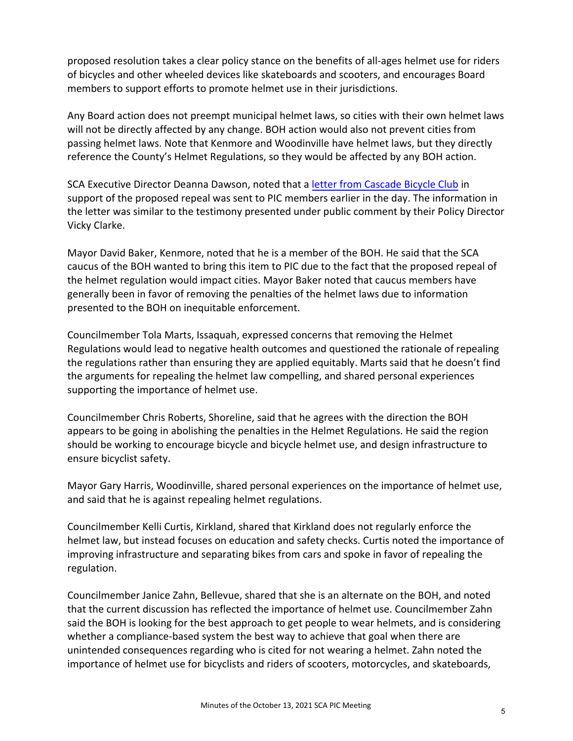proposed resolution takes a clear policy stance on the benefits of all‐ages helmet use for riders of bicycles and other wheeled devices like skateboards and scooters, and encourages Board members to support efforts to promote helmet use in their jurisdictions.

Any Board action does not preempt municipal helmet laws, so cities with their own helmet laws will not be directly affected by any change. BOH action would also not prevent cities from passing helmet laws. Note that Kenmore and Woodinville have helmet laws, but they directly reference the County's Helmet Regulations, so they would be affected by any BOH action.

SCA Executive Director Deanna Dawson, noted that a letter from Cascade Bicycle Club in support of the proposed repeal was sent to PIC members earlier in the day. The information in the letter was similar to the testimony presented under public comment by their Policy Director Vicky Clarke.

Mayor David Baker, Kenmore, noted that he is a member of the BOH. He said that the SCA caucus of the BOH wanted to bring this item to PIC due to the fact that the proposed repeal of the helmet regulation would impact cities. Mayor Baker noted that caucus members have generally been in favor of removing the penalties of the helmet laws due to information presented to the BOH on inequitable enforcement.

Councilmember Tola Marts, Issaquah, expressed concerns that removing the Helmet Regulations would lead to negative health outcomes and questioned the rationale of repealing the regulations rather than ensuring they are applied equitably. Marts said that he doesn't find the arguments for repealing the helmet law compelling, and shared personal experiences supporting the importance of helmet use.

Councilmember Chris Roberts, Shoreline, said that he agrees with the direction the BOH appears to be going in abolishing the penalties in the Helmet Regulations. He said the region should be working to encourage bicycle and bicycle helmet use, and design infrastructure to ensure bicyclist safety.

Mayor Gary Harris, Woodinville, shared personal experiences on the importance of helmet use, and said that he is against repealing helmet regulations.

Councilmember Kelli Curtis, Kirkland, shared that Kirkland does not regularly enforce the helmet law, but instead focuses on education and safety checks. Curtis noted the importance of improving infrastructure and separating bikes from cars and spoke in favor of repealing the regulation.

Councilmember Janice Zahn, Bellevue, shared that she is an alternate on the BOH, and noted that the current discussion has reflected the importance of helmet use. Councilmember Zahn said the BOH is looking for the best approach to get people to wear helmets, and is considering whether a compliance-based system the best way to achieve that goal when there are unintended consequences regarding who is cited for not wearing a helmet. Zahn noted the importance of helmet use for bicyclists and riders of scooters, motorcycles, and skateboards,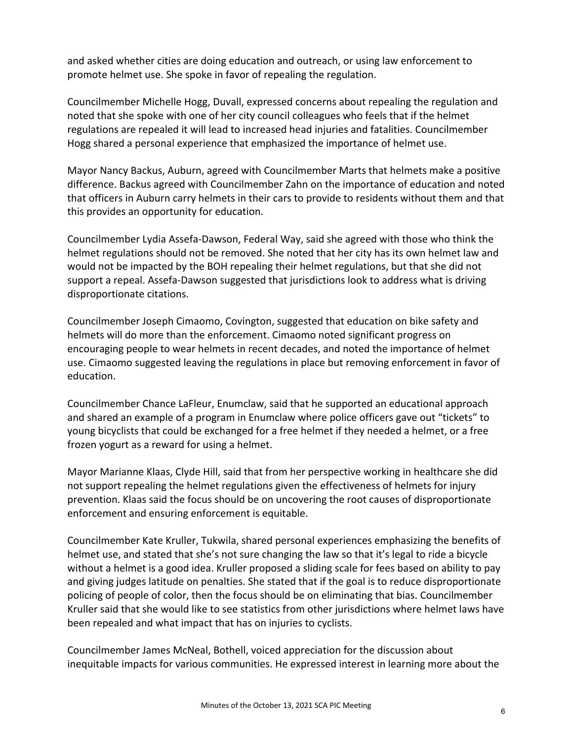and asked whether cities are doing education and outreach, or using law enforcement to promote helmet use. She spoke in favor of repealing the regulation.

Councilmember Michelle Hogg, Duvall, expressed concerns about repealing the regulation and noted that she spoke with one of her city council colleagues who feels that if the helmet regulations are repealed it will lead to increased head injuries and fatalities. Councilmember Hogg shared a personal experience that emphasized the importance of helmet use.

Mayor Nancy Backus, Auburn, agreed with Councilmember Marts that helmets make a positive difference. Backus agreed with Councilmember Zahn on the importance of education and noted that officers in Auburn carry helmets in their cars to provide to residents without them and that this provides an opportunity for education.

Councilmember Lydia Assefa‐Dawson, Federal Way, said she agreed with those who think the helmet regulations should not be removed. She noted that her city has its own helmet law and would not be impacted by the BOH repealing their helmet regulations, but that she did not support a repeal. Assefa‐Dawson suggested that jurisdictions look to address what is driving disproportionate citations.

Councilmember Joseph Cimaomo, Covington, suggested that education on bike safety and helmets will do more than the enforcement. Cimaomo noted significant progress on encouraging people to wear helmets in recent decades, and noted the importance of helmet use. Cimaomo suggested leaving the regulations in place but removing enforcement in favor of education.

Councilmember Chance LaFleur, Enumclaw, said that he supported an educational approach and shared an example of a program in Enumclaw where police officers gave out "tickets" to young bicyclists that could be exchanged for a free helmet if they needed a helmet, or a free frozen yogurt as a reward for using a helmet.

Mayor Marianne Klaas, Clyde Hill, said that from her perspective working in healthcare she did not support repealing the helmet regulations given the effectiveness of helmets for injury prevention. Klaas said the focus should be on uncovering the root causes of disproportionate enforcement and ensuring enforcement is equitable.

Councilmember Kate Kruller, Tukwila, shared personal experiences emphasizing the benefits of helmet use, and stated that she's not sure changing the law so that it's legal to ride a bicycle without a helmet is a good idea. Kruller proposed a sliding scale for fees based on ability to pay and giving judges latitude on penalties. She stated that if the goal is to reduce disproportionate policing of people of color, then the focus should be on eliminating that bias. Councilmember Kruller said that she would like to see statistics from other jurisdictions where helmet laws have been repealed and what impact that has on injuries to cyclists.

Councilmember James McNeal, Bothell, voiced appreciation for the discussion about inequitable impacts for various communities. He expressed interest in learning more about the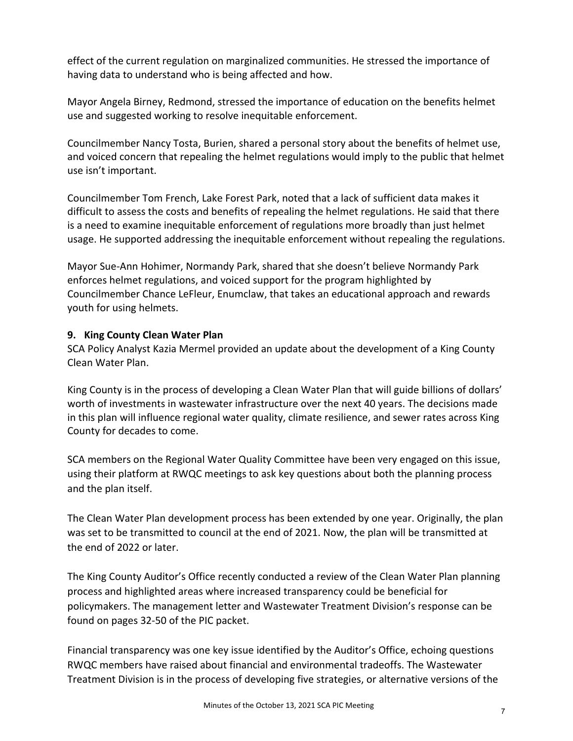effect of the current regulation on marginalized communities. He stressed the importance of having data to understand who is being affected and how.

Mayor Angela Birney, Redmond, stressed the importance of education on the benefits helmet use and suggested working to resolve inequitable enforcement.

Councilmember Nancy Tosta, Burien, shared a personal story about the benefits of helmet use, and voiced concern that repealing the helmet regulations would imply to the public that helmet use isn't important.

Councilmember Tom French, Lake Forest Park, noted that a lack of sufficient data makes it difficult to assess the costs and benefits of repealing the helmet regulations. He said that there is a need to examine inequitable enforcement of regulations more broadly than just helmet usage. He supported addressing the inequitable enforcement without repealing the regulations.

Mayor Sue‐Ann Hohimer, Normandy Park, shared that she doesn't believe Normandy Park enforces helmet regulations, and voiced support for the program highlighted by Councilmember Chance LeFleur, Enumclaw, that takes an educational approach and rewards youth for using helmets.

## **9. King County Clean Water Plan**

SCA Policy Analyst Kazia Mermel provided an update about the development of a King County Clean Water Plan.

King County is in the process of developing a Clean Water Plan that will guide billions of dollars' worth of investments in wastewater infrastructure over the next 40 years. The decisions made in this plan will influence regional water quality, climate resilience, and sewer rates across King County for decades to come.

SCA members on the Regional Water Quality Committee have been very engaged on this issue, using their platform at RWQC meetings to ask key questions about both the planning process and the plan itself.

The Clean Water Plan development process has been extended by one year. Originally, the plan was set to be transmitted to council at the end of 2021. Now, the plan will be transmitted at the end of 2022 or later.

The King County Auditor's Office recently conducted a review of the Clean Water Plan planning process and highlighted areas where increased transparency could be beneficial for policymakers. The management letter and Wastewater Treatment Division's response can be found on pages 32‐50 of the PIC packet.

Financial transparency was one key issue identified by the Auditor's Office, echoing questions RWQC members have raised about financial and environmental tradeoffs. The Wastewater Treatment Division is in the process of developing five strategies, or alternative versions of the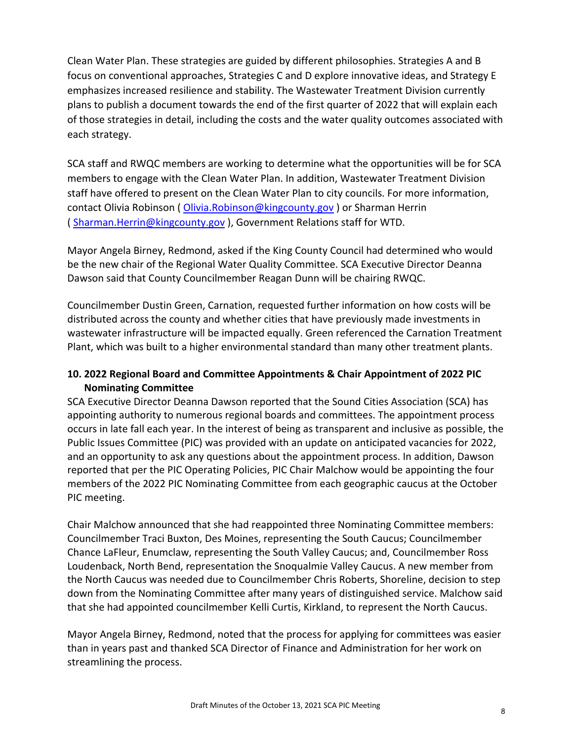Clean Water Plan. These strategies are guided by different philosophies. Strategies A and B focus on conventional approaches, Strategies C and D explore innovative ideas, and Strategy E emphasizes increased resilience and stability. The Wastewater Treatment Division currently plans to publish a document towards the end of the first quarter of 2022 that will explain each of those strategies in detail, including the costs and the water quality outcomes associated with each strategy.

SCA staff and RWQC members are working to determine what the opportunities will be for SCA members to engage with the Clean Water Plan. In addition, Wastewater Treatment Division staff have offered to present on the Clean Water Plan to city councils. For more information, contact Olivia Robinson ( Olivia.Robinson@kingcounty.gov ) or Sharman Herrin ( Sharman.Herrin@kingcounty.gov ), Government Relations staff for WTD.

Mayor Angela Birney, Redmond, asked if the King County Council had determined who would be the new chair of the Regional Water Quality Committee. SCA Executive Director Deanna Dawson said that County Councilmember Reagan Dunn will be chairing RWQC.

Councilmember Dustin Green, Carnation, requested further information on how costs will be distributed across the county and whether cities that have previously made investments in wastewater infrastructure will be impacted equally. Green referenced the Carnation Treatment Plant, which was built to a higher environmental standard than many other treatment plants.

## **10. 2022 Regional Board and Committee Appointments & Chair Appointment of 2022 PIC Nominating Committee**

SCA Executive Director Deanna Dawson reported that the Sound Cities Association (SCA) has appointing authority to numerous regional boards and committees. The appointment process occurs in late fall each year. In the interest of being as transparent and inclusive as possible, the Public Issues Committee (PIC) was provided with an update on anticipated vacancies for 2022, and an opportunity to ask any questions about the appointment process. In addition, Dawson reported that per the PIC Operating Policies, PIC Chair Malchow would be appointing the four members of the 2022 PIC Nominating Committee from each geographic caucus at the October PIC meeting.

Chair Malchow announced that she had reappointed three Nominating Committee members: Councilmember Traci Buxton, Des Moines, representing the South Caucus; Councilmember Chance LaFleur, Enumclaw, representing the South Valley Caucus; and, Councilmember Ross Loudenback, North Bend, representation the Snoqualmie Valley Caucus. A new member from the North Caucus was needed due to Councilmember Chris Roberts, Shoreline, decision to step down from the Nominating Committee after many years of distinguished service. Malchow said that she had appointed councilmember Kelli Curtis, Kirkland, to represent the North Caucus.

Mayor Angela Birney, Redmond, noted that the process for applying for committees was easier than in years past and thanked SCA Director of Finance and Administration for her work on streamlining the process.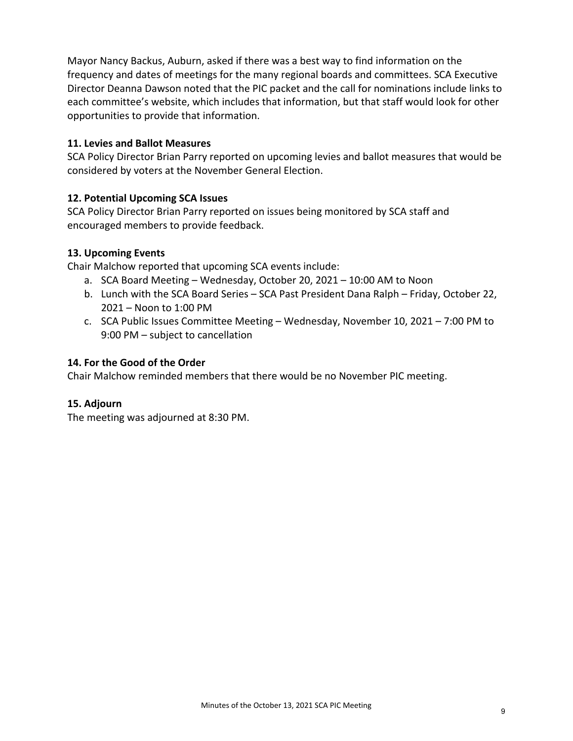Mayor Nancy Backus, Auburn, asked if there was a best way to find information on the frequency and dates of meetings for the many regional boards and committees. SCA Executive Director Deanna Dawson noted that the PIC packet and the call for nominations include links to each committee's website, which includes that information, but that staff would look for other opportunities to provide that information.

#### **11. Levies and Ballot Measures**

SCA Policy Director Brian Parry reported on upcoming levies and ballot measures that would be considered by voters at the November General Election.

## **12. Potential Upcoming SCA Issues**

SCA Policy Director Brian Parry reported on issues being monitored by SCA staff and encouraged members to provide feedback.

#### **13. Upcoming Events**

Chair Malchow reported that upcoming SCA events include:

- a. SCA Board Meeting Wednesday, October 20, 2021 10:00 AM to Noon
- b. Lunch with the SCA Board Series SCA Past President Dana Ralph Friday, October 22, 2021 – Noon to 1:00 PM
- c. SCA Public Issues Committee Meeting Wednesday, November 10, 2021 7:00 PM to 9:00 PM – subject to cancellation

#### **14. For the Good of the Order**

Chair Malchow reminded members that there would be no November PIC meeting.

## **15. Adjourn**

The meeting was adjourned at 8:30 PM.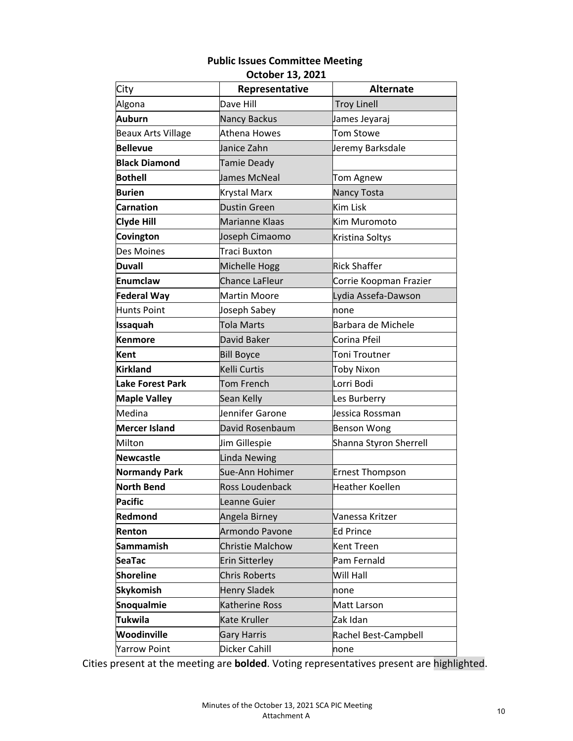#### **Public Issues Committee Meeting October 13, 2021**

| City                      | Representative        | <b>Alternate</b>       |
|---------------------------|-----------------------|------------------------|
| Algona                    | Dave Hill             | <b>Troy Linell</b>     |
| Auburn                    | <b>Nancy Backus</b>   | James Jeyaraj          |
| <b>Beaux Arts Village</b> | Athena Howes          | <b>Tom Stowe</b>       |
| Bellevue                  | Janice Zahn           | Jeremy Barksdale       |
| <b>Black Diamond</b>      | Tamie Deady           |                        |
| <b>Bothell</b>            | James McNeal          | Tom Agnew              |
| <b>Burien</b>             | Krystal Marx          | Nancy Tosta            |
| <b>Carnation</b>          | <b>Dustin Green</b>   | Kim Lisk               |
| <b>Clyde Hill</b>         | Marianne Klaas        | Kim Muromoto           |
| Covington                 | Joseph Cimaomo        | Kristina Soltys        |
| Des Moines                | Traci Buxton          |                        |
| <b>Duvall</b>             | Michelle Hogg         | Rick Shaffer           |
| Enumclaw                  | <b>Chance LaFleur</b> | Corrie Koopman Frazier |
| <b>Federal Way</b>        | Martin Moore          | Lydia Assefa-Dawson    |
| Hunts Point               | Joseph Sabey          | none                   |
| <b>Issaquah</b>           | Tola Marts            | Barbara de Michele     |
| <b>Kenmore</b>            | David Baker           | Corina Pfeil           |
| Kent                      | <b>Bill Boyce</b>     | Toni Troutner          |
| <b>Kirkland</b>           | Kelli Curtis          | <b>Toby Nixon</b>      |
| <b>Lake Forest Park</b>   | <b>Tom French</b>     | Lorri Bodi             |
| <b>Maple Valley</b>       | Sean Kelly            | Les Burberry           |
| Medina                    | Jennifer Garone       | Jessica Rossman        |
| <b>Mercer Island</b>      | David Rosenbaum       | <b>Benson Wong</b>     |
| Milton                    | Jim Gillespie         | Shanna Styron Sherrell |
| Newcastle                 | <b>Linda Newing</b>   |                        |
| <b>Normandy Park</b>      | Sue-Ann Hohimer       | <b>Ernest Thompson</b> |
| <b>North Bend</b>         | Ross Loudenback       | Heather Koellen        |
| <b>Pacific</b>            | Leanne Guier          |                        |
| Redmond                   | Angela Birney         | Vanessa Kritzer        |
| Renton                    | Armondo Pavone        | <b>Ed Prince</b>       |
| Sammamish                 | Christie Malchow      | <b>Kent Treen</b>      |
| <b>SeaTac</b>             | Erin Sitterley        | Pam Fernald            |
| <b>Shoreline</b>          | <b>Chris Roberts</b>  | Will Hall              |
| <b>Skykomish</b>          | <b>Henry Sladek</b>   | none                   |
| Snoqualmie                | Katherine Ross        | Matt Larson            |
| <b>Tukwila</b>            | Kate Kruller          | Zak Idan               |
| Woodinville               | Gary Harris           | Rachel Best-Campbell   |
| <b>Yarrow Point</b>       | Dicker Cahill         | none                   |

Cities present at the meeting are **bolded**. Voting representatives present are highlighted.